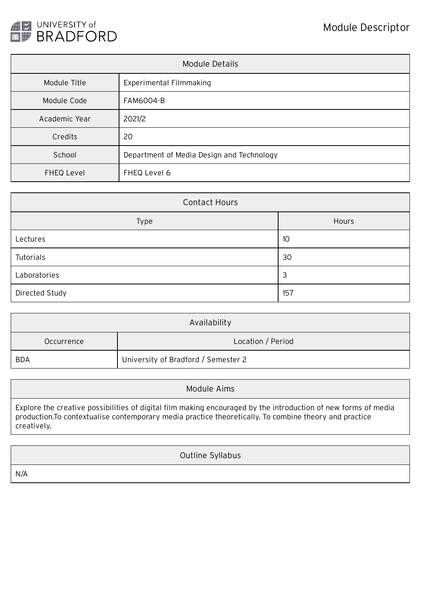

| Module Details    |                                           |  |  |
|-------------------|-------------------------------------------|--|--|
| Module Title      | <b>Experimental Filmmaking</b>            |  |  |
| Module Code       | <b>FAM6004-B</b>                          |  |  |
| Academic Year     | 2021/2                                    |  |  |
| Credits           | 20                                        |  |  |
| School            | Department of Media Design and Technology |  |  |
| <b>FHEQ Level</b> | FHEQ Level 6                              |  |  |

| <b>Contact Hours</b> |       |  |  |  |
|----------------------|-------|--|--|--|
| Type                 | Hours |  |  |  |
| Lectures             | 10    |  |  |  |
| Tutorials            | 30    |  |  |  |
| Laboratories         | З     |  |  |  |
| Directed Study       | 157   |  |  |  |

| Availability |                                     |  |  |
|--------------|-------------------------------------|--|--|
| Occurrence   | Location / Period                   |  |  |
| <b>BDA</b>   | University of Bradford / Semester 2 |  |  |

Module Aims

Explore the creative possibilities of digital film making encouraged by the introduction of new forms of media production.To contextualise contemporary media practice theoretically. To combine theory and practice creatively.

Outline Syllabus

N/A